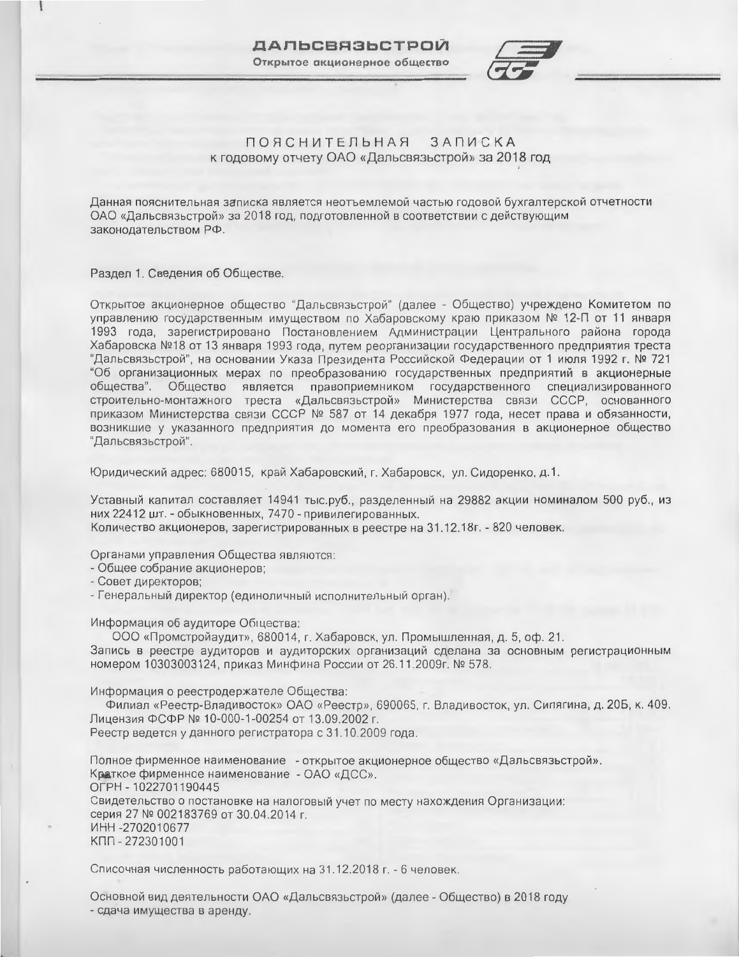

#### **ЗАПИСКА** ПОЯСНИТЕЛЬНАЯ к годовому отчету ОАО «Дальсвязьстрой» за 2018 год

Данная пояснительная записка является неотъемлемой частью годовой бухгалтерской отчетности ОАО «Дальсвязьстрой» за 2018 год, подготовленной в соответствии с действующим законодательством РФ.

Раздел 1. Сведения об Обществе.

Открытое акционерное общество "Дальсвязьстрой" (далее - Общество) учреждено Комитетом по управлению государственным имуществом по Хабаровскому краю приказом № 12-П от 11 января 1993 года, зарегистрировано Постановлением Администрации Центрального района города Хабаровска №18 от 13 января 1993 года, путем реорганизации государственного предприятия треста "Дальсвязьстрой", на основании Указа Президента Российской Федерации от 1 июля 1992 г. № 721 "Об организационных мерах по преобразованию государственных предприятий в акционерные общества". Обще ство является правоприемником государственного специализированного строительно-монтажного треста «Дальсвязьстрой» Министерства связи СССР, основанного приказом Министерства связи СССР № 587 от 14 декабря 1977 года, несет права и обязанности, возникшие у указанного предприятия до момента его преобразования в акционерное общество "Дальсвязьстрой".

Юридический адрес: 680015, край Хабаровский, г. Хабаровск, ул. Сидоренко, д.1.

Уставный капитал составляет 14941 тыс.руб., разделенный на 29882 акции номиналом 500 руб., из них 22412 шт. - обыкновенных, 7470 - привилегированных. Количество акционеров, зарегистрированных в реестре на 31.12.18г. - 820 человек.

Органами управления Общества являются:

- Общее собрание акционеров;

- Совет директоров;

- Генеральный директор (единоличный исполнительный орган).

Информация об аудиторе Общєюства:

ООО «Промстройаудит», 680014, г. Хабаровск, ул. Промышленная, д. 5, оф. 21. Запись в реестре аудиторов и аудиторских организаций сделана за основным регистрационным номером 10303003124, приказ Минфина России от 26.11.2009г. № 578.

Информация о реестродержателе Общества:

Филиал «Реестр-Владивосток» ОАО «Реестр», 690065, г. Владивосток, ул. Сипягина, д. 20Б, к. 409. Лицензия ФСФР № 10-000-1-00254 от 13.09.2002 г.

Реестр ведется у данного регистратора с 31.10.2009 года.

Полное фирменное наименование - открытое акционерное общество «Дальсвязьстрой». Краткое фирменное наименование - ОАО «ДСС». OFPH - 1022701190445 Свидетельство о постановке на налоговый учет по месту нахождения Организации: серия 27 № 002183769 от 30.04.2014 г. ИНН-2702010677 КПП - 272301001

Списочная численность работающих на 31.12.2018 г. - 6 человек.

Основной вид деятельности ОАО «Дальсвязьстрой» (далее - Общество) в 2018 году - сдача имущества в аренду.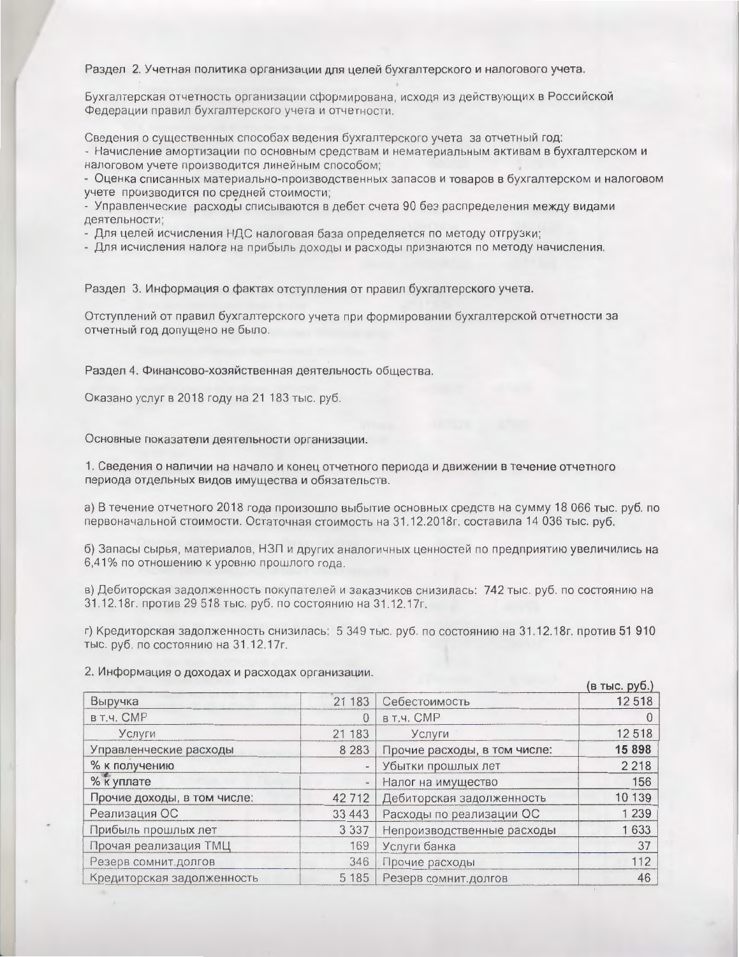Раздел 2. Учетная политика организации для целей бухгалтерского и налогового учета.

Бухгалтерская отчетность организации сформирована, исходя из действующих в Российской Федерации правил бухгалтерского учета и отчетности.

Сведения о существенных способах ведения бухгалтерского учета за отчетный год:

- Начисление амортизации по основным средствам и нематериальным активам в бухгалтерском и налоговом учете производится линейным способом;

- Оценка списанных материально-производственных запасов и товаров в бухгалтерском и налоговом учете производится по средней стоимости;

- Управленческие расходы списываются в дебет счета 90 без распределения между видами деятельности;

- Для целей исчисления НДС налоговая база определяется по методу отгрузки;

- Для исчисления налога на прибыль доходы и расходы признаются по методу начисления.

Раздел 3. Информация о фактах отступления от правил бухгалтерского учета.

Отступлений от правил бухгалтерского учета при формировании бухгалтерской отчетности за отчетный год допущено не было.

Раздел 4. Финансово-хозяйственная деятельность общества.

Оказано услуг в 2018 году на 21 183 тыс. руб.

Основные показатели деятельности организации.

1. Сведения о наличии на начало и конец отчетного периода и движении в течение отчетного периода отдельных видов имущества и обязательств.

а) В течение отчетного 2018 года произошло выбытие основных средств на сумму 18 066 тыс. руб. по первоначальной стоимости. Остаточная стоимость на 31.12.2018г. составила 14 036 тыс. руб.

б) Запасы сырья, материалов, НЗП и других аналогичных ценностей по предприятию увеличились на 6,41% по отношению к уровню прошлого года.

в) Дебиторская задолженность покупателей и заказчиков снизилась: 742 тыс. руб. по состоянию на 31.12.18г. против 29 518 тыс. руб. по состоянию на 31.12.17г.

г) Кредиторская задолженность снизилась: 5 349 тыс. руб. по состоянию на 31.12.18г. против 51 910 тыс. руб. по состоянию на 31.12.17г.

2. Информация о доходах и расходах организации.

|                             |                              |                              | (в тыс. руб.) |
|-----------------------------|------------------------------|------------------------------|---------------|
| Выручка                     | 21 183                       | Себестоимость                | 12518         |
| в т.ч. СМР                  | $\Omega$                     | в т.ч. СМР                   |               |
| Услуги                      | 21 183                       | Услуги                       | 12518         |
| Управленческие расходы      | 8 2 8 3                      | Прочие расходы, в том числе: | 15 8 98       |
| % к получению               | $\qquad \qquad \blacksquare$ | Убытки прошлых лет           | 2 2 1 8       |
| % к уплате                  | $\overline{\phantom{m}}$     | Налог на имущество           | 156           |
| Прочие доходы, в том числе: | 42 7 12                      | Дебиторская задолженность    | 10 139        |
| Реализация ОС               | 33 4 4 3                     | Расходы по реализации ОС     | 1 2 3 9       |
| Прибыль прошлых лет         | 3 3 3 7                      | Непроизводственные расходы   | 1633          |
| Прочая реализация ТМЦ       | 169                          | Услуги банка                 | 37            |
| Резерв сомнит. долгов       | 346                          | Прочие расходы               | 112           |
| Кредиторская задолженность  | 5 1 8 5                      | Резерв сомнит. долгов        | 46            |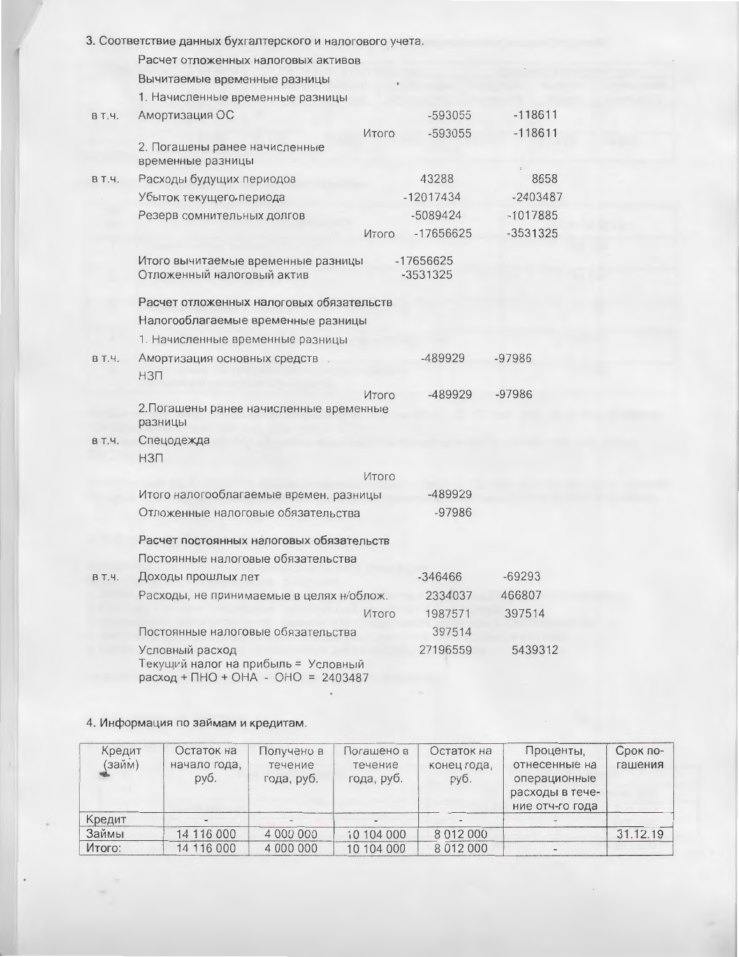|              | 3. Соответствие данных бухгалтерского и налогового учета.                                    |                       |            |
|--------------|----------------------------------------------------------------------------------------------|-----------------------|------------|
|              | Расчет отложенных налоговых активов                                                          |                       |            |
|              | Вычитаемые временные разницы                                                                 |                       |            |
|              | 1. Начисленные временные разницы                                                             |                       |            |
| B T. 4.      | Амортизация ОС                                                                               | -593055               | $-118611$  |
|              | Итого                                                                                        | -593055               | $-118611$  |
|              | 2. Погашены ранее начисленные<br>временные разницы                                           |                       |            |
| <b>BT.4.</b> | Расходы будущих периодов                                                                     | 43288                 | 8658       |
|              | Убыток текущего периода                                                                      | $-12017434$           | $-2403487$ |
|              | Резерв сомнительных долгов                                                                   | $-5089424$            | $-1017885$ |
|              | <b>Итого</b>                                                                                 | -17656625             | $-3531325$ |
|              | Итого вычитаемые временные разницы<br>Отложенный налоговый актив                             | -17656625<br>-3531325 |            |
|              | Расчет отложенных налоговых обязательств                                                     |                       |            |
|              | Налогооблагаемые временные разницы                                                           |                       |            |
|              | 1. Начисленные временные разницы                                                             |                       |            |
| <b>BT.4.</b> | Амортизация основных средств                                                                 | -489929               | $-97986$   |
|              | <b>H3N</b>                                                                                   |                       |            |
|              | Итого<br>2. Погашены ранее начисленные временные<br>разницы                                  | -489929               | $-97986$   |
| В Т.Ч.       | Спецодежда                                                                                   |                       |            |
|              | <b>H3N</b>                                                                                   |                       |            |
|              | Итого                                                                                        |                       |            |
|              | Итого налогооблагаемые времен. разницы                                                       | -489929               |            |
|              | Отложенные налоговые обязательства                                                           | $-97986$              |            |
|              | Расчет постоянных налоговых обязательств                                                     |                       |            |
|              | Постоянные налоговые обязательства                                                           |                       |            |
| B T.4.       | Доходы прошлых лет                                                                           | $-346466$             | $-69293$   |
|              | Расходы, не принимаемые в целях н/облож.                                                     | 2334037               | 466807     |
|              | Итого                                                                                        | 1987571               | 397514     |
|              | Постоянные налоговые обязательства                                                           | 397514                |            |
|              | Условный расход<br>Текущий налог на прибыль = Условный<br>расход + ПНО + ОНА - ОНО = 2403487 | 27196559              | 5439312    |

# 4. Информация по займам и кредитам.

×

| Кредит<br>(займ) | Остаток на<br>начало года,<br>руб. | Получено в<br>течение<br>года, руб. | Погашено в<br>течение<br>года, руб. | Остаток на<br>конец года,<br>руб. | Проценты,<br>отнесенные на<br>операционные<br>расходы в тече-<br>ние отч-го года | Срок по-<br>гашения |
|------------------|------------------------------------|-------------------------------------|-------------------------------------|-----------------------------------|----------------------------------------------------------------------------------|---------------------|
| Кредит           |                                    |                                     |                                     |                                   |                                                                                  |                     |
| Займы            | 14 116 000                         | 4 000 000                           | 10 104 000                          | 8 0 1 2 0 0 0                     |                                                                                  | 31.12.19            |
| Итого:           | 14 116 000                         | 4 000 000                           | 10 104 000                          | 8012000                           |                                                                                  |                     |

 $\ ^{\ast}$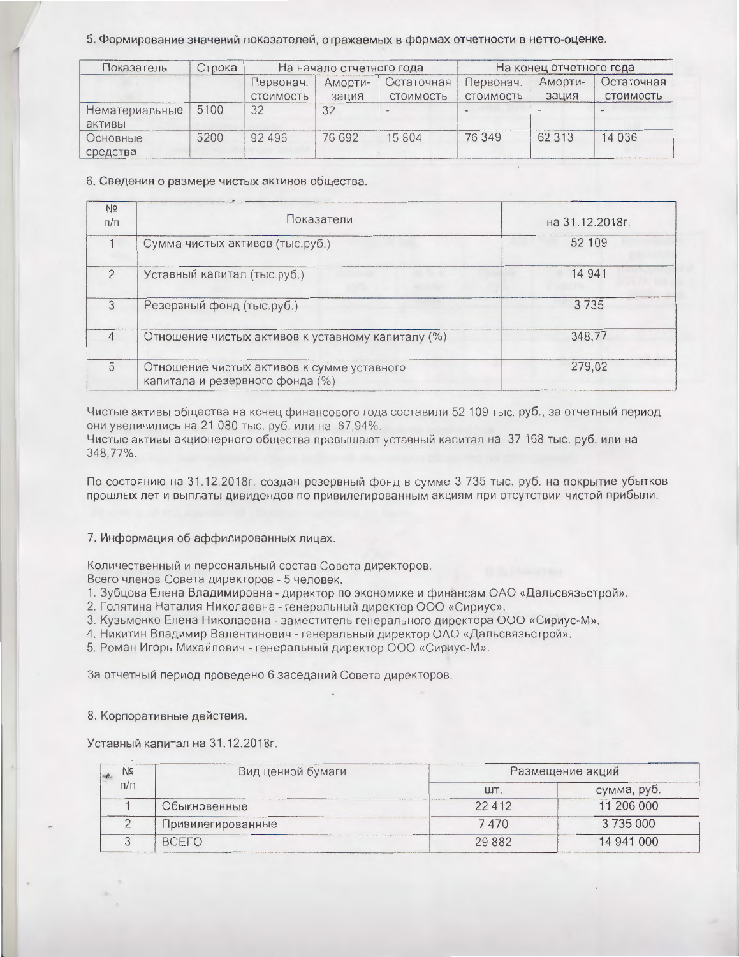#### 5. Формирование значений показателей, отражаемых в формах отчетности в нетто-оценке.

| Показатель               | Строка | На начало отчетного года |                               | На конец отчетного года |                        |                  |                                |
|--------------------------|--------|--------------------------|-------------------------------|-------------------------|------------------------|------------------|--------------------------------|
|                          |        | Первонач.<br>СТОИМОСТЬ   | AMODT <sub>M</sub> -<br>зация | Остаточная<br>СТОИМОСТЬ | Первонач.<br>СТОИМОСТЬ | AMODTH-<br>зация | Остаточная<br><b>СТОИМОСТЬ</b> |
| Нематериальные<br>активы | 5100   | 32                       | 32                            |                         |                        |                  |                                |
| Основные<br>средства     | 5200   | 92 4 9 6                 | 76 692                        | 15804                   | 76 349                 | 62 313           | 14 0 36                        |

#### 6. Сведения о размере чистых активов общества.

| N <sub>2</sub><br>$\Gamma/\Gamma$ | Показатели                                                                    | на 31.12.2018г. |
|-----------------------------------|-------------------------------------------------------------------------------|-----------------|
|                                   | Сумма чистых активов (тыс.руб.)                                               | 52 109          |
| $\mathcal{P}$                     | Уставный капитал (тыс.руб.)                                                   | 14 941          |
| 3                                 | Резервный фонд (тыс.руб.)                                                     | 3735            |
| $\overline{4}$                    | Отношение чистых активов к уставному капиталу (%)                             | 348,77          |
| 5                                 | Отношение чистых активов к сумме уставного<br>капитала и резервного фонда (%) | 279,02          |

Чистые активы общества на конец финансового года составили 52 109 тыс. руб., за отчетный период они увеличились на 21 080 тыс. руб. или на 67,94%.

Чистые активы акционерного общества превышают уставный капитал на 37 168 тыс. руб. или на 348,77%.

По состоянию на 31.12.2018г. создан резервный фонд в сумме 3 735 тыс. руб. на покрытие убытков прошлых лет и выплаты дивидендов по привилегированным акциям при отсутствии чистой прибыли.

### 7. Информация об аффилированных лицах.

Количественный и персональный состав Совета директоров.

Всего членов Совета директоров - 5 человек.

1. Зубцова Елена Владимировна - директор по экономике и финансам ОАО «Дальсвязьстрой».

2. Голятина Наталия Николаевна - генеральный директор ООО «Сириус».

3. Кузьменко Елена Николаевна - заместитель генерального директора ООО «Сириус-М».

4. Никитин Владимир Валентинович - генеральный директор ОАО «Дальсвязьстрой».

5. Роман Игорь Михайлович - генеральный директор ООО «Сириус-М».

За отчетный период проведено 6 заседаний Совета директоров.

### 8. Корпоративные действия.

Уставный капитал на 31.12.2018г.

| Nº | Вид ценной бумаги<br>$\Box/\Box$ | Размещение акций |             |  |  |
|----|----------------------------------|------------------|-------------|--|--|
|    |                                  | ШT               | сумма, руб. |  |  |
|    | Обыкновенные                     | 22412            | 11 206 000  |  |  |
|    | Привилегированные                | 7470             | 3735000     |  |  |
|    | <b>BCFLO</b>                     | 29882            | 14 941 000  |  |  |